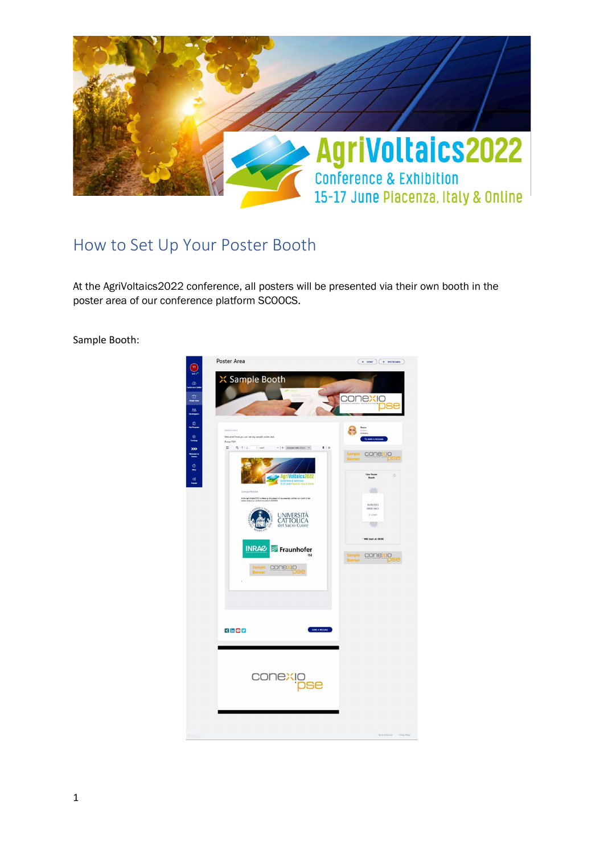

## How to Set Up Your Poster Booth

At the AgriVoltaics2022 conference, all posters will be presented via their own booth in the poster area of our conference platform SCOOCS.

Sample Booth:

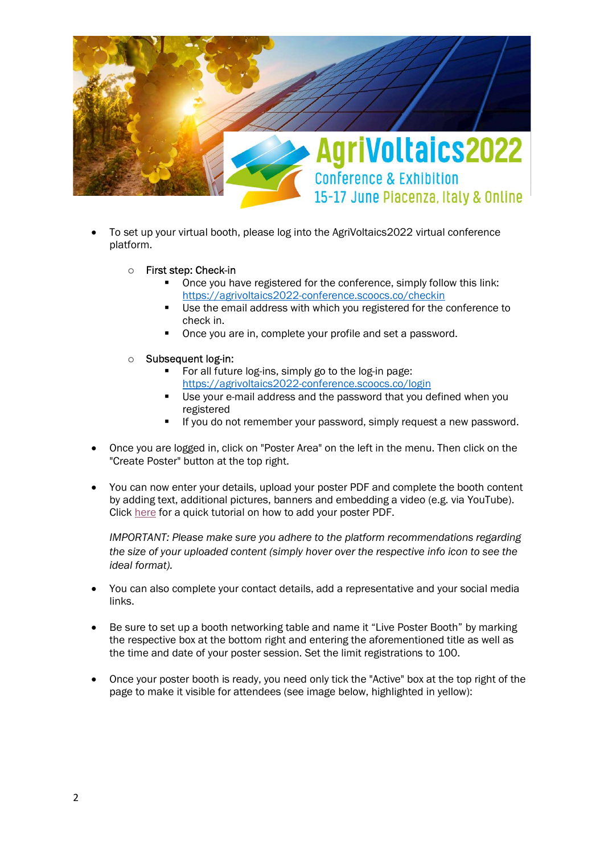

- To set up your virtual booth, please log into the AgriVoltaics2022 virtual conference platform.
	- o First step: Check-in
		- Once you have registered for the conference, simply follow this link: https://agrivoltaics2022-conference.scoocs.co/checkin
		- Use the email address with which you registered for the conference to check in.
		- Once you are in, complete your profile and set a password.
	- o Subsequent log-in:
		- For all future log-ins, simply go to the log-in page: https://agrivoltaics2022-conference.scoocs.co/login
		- Use your e-mail address and the password that you defined when you registered
		- **If you do not remember your password, simply request a new password.**
- Once you are logged in, click on "Poster Area" on the left in the menu. Then click on the "Create Poster" button at the top right.
- You can now enter your details, upload your poster PDF and complete the booth content by adding text, additional pictures, banners and embedding a video (e.g. via YouTube). Click here for a quick tutorial on how to add your poster PDF.

IMPORTANT: Please make sure you adhere to the platform recommendations regarding the size of your uploaded content (simply hover over the respective info icon to see the ideal format).

- You can also complete your contact details, add a representative and your social media links.
- Be sure to set up a booth networking table and name it "Live Poster Booth" by marking the respective box at the bottom right and entering the aforementioned title as well as the time and date of your poster session. Set the limit registrations to 100.
- Once your poster booth is ready, you need only tick the "Active" box at the top right of the page to make it visible for attendees (see image below, highlighted in yellow):